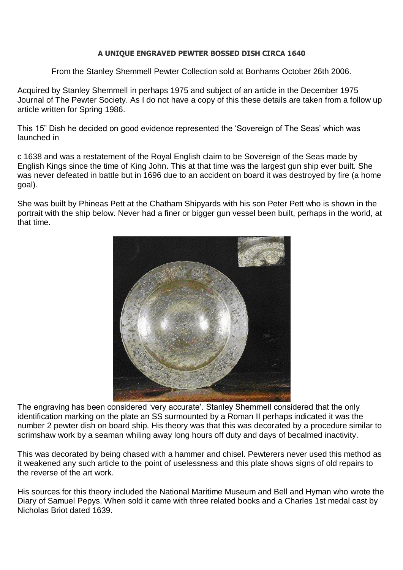## **A UNIQUE ENGRAVED PEWTER BOSSED DISH CIRCA 1640**

From the Stanley Shemmell Pewter Collection sold at Bonhams October 26th 2006.

Acquired by Stanley Shemmell in perhaps 1975 and subject of an article in the December 1975 Journal of The Pewter Society. As I do not have a copy of this these details are taken from a follow up article written for Spring 1986.

This 15" Dish he decided on good evidence represented the 'Sovereign of The Seas' which was launched in

c 1638 and was a restatement of the Royal English claim to be Sovereign of the Seas made by English Kings since the time of King John. This at that time was the largest gun ship ever built. She was never defeated in battle but in 1696 due to an accident on board it was destroyed by fire (a home goal).

She was built by Phineas Pett at the Chatham Shipyards with his son Peter Pett who is shown in the portrait with the ship below. Never had a finer or bigger gun vessel been built, perhaps in the world, at that time.



The engraving has been considered 'very accurate'. Stanley Shemmell considered that the only identification marking on the plate an SS surmounted by a Roman II perhaps indicated it was the number 2 pewter dish on board ship. His theory was that this was decorated by a procedure similar to scrimshaw work by a seaman whiling away long hours off duty and days of becalmed inactivity.

This was decorated by being chased with a hammer and chisel. Pewterers never used this method as it weakened any such article to the point of uselessness and this plate shows signs of old repairs to the reverse of the art work.

His sources for this theory included the National Maritime Museum and Bell and Hyman who wrote the Diary of Samuel Pepys. When sold it came with three related books and a Charles 1st medal cast by Nicholas Briot dated 1639.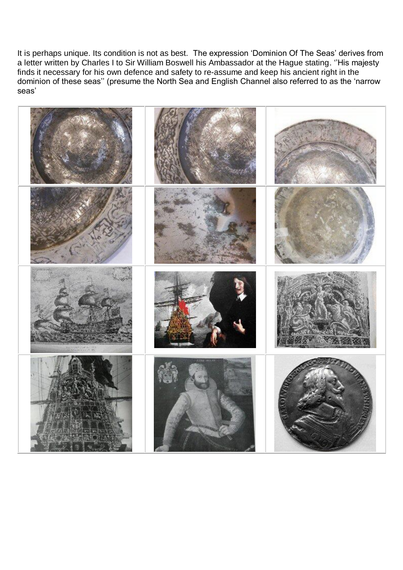It is perhaps unique. Its condition is not as best. The expression 'Dominion Of The Seas' derives from a letter written by Charles I to Sir William Boswell his Ambassador at the Hague stating. ''His majesty finds it necessary for his own defence and safety to re-assume and keep his ancient right in the dominion of these seas'' (presume the North Sea and English Channel also referred to as the 'narrow seas'